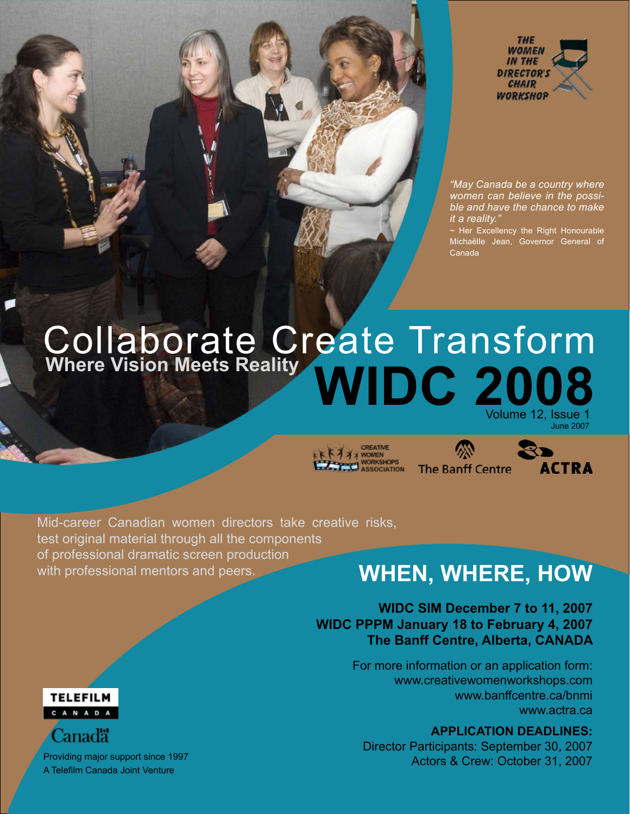



*"May Canada be a country where women can believe in the possible and have the chance to make it a reality."* 

~ Her Excellency the Right Honourable Michaëlle Jean, Governor General of Canada

# **WIDC 2008** Collaborate Create Transform **Where Vision Meets Reality**

June 2007

**A A WOMEN** 



Mid-career Canadian women directors take creative risks, test original material through all the components of professional dramatic screen production with professional mentors and peers.

### **WHEN, WHERE, HOW**

#### **WIDC SIM December 7 to 11, 2007 WIDC PPPM January 18 to February 4, 2007 The Banff Centre, Alberta, CANADA**

For more information or an application form: www.creativewomenworkshops.com www.banffcentre.ca/bnmi www.actra.ca

#### **APPLICATION DEADLINES:**

Director Participants: September 30, 2007 Actors & Crew: October 31, 2007



Canad<mark>ä</mark>

A Telefilm Canada Joint Venture Providing major support since 1997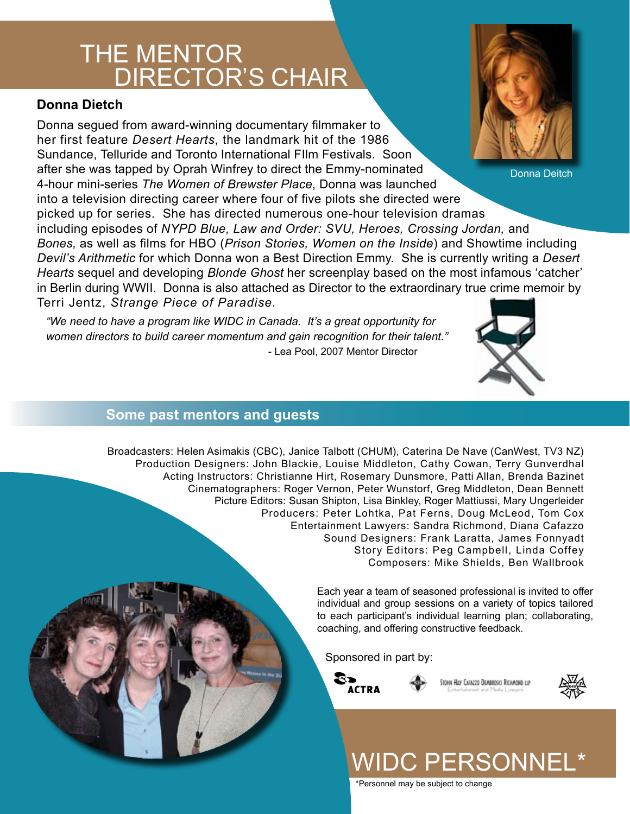### **THE MENTOR** DIRECTOR'S CHAIR

#### **Donna Dietch**

Donna segued from award-winning documentary filmmaker to her first feature *Desert Hearts*, the landmark hit of the 1986 Sundance, Telluride and Toronto International FIlm Festivals. Soon after she was tapped by Oprah Winfrey to direct the Emmy-nominated 4-hour mini-series *The Women of Brewster Place*, Donna was launched into a television directing career where four of five pilots she directed were picked up for series. She has directed numerous one-hour television dramas including episodes of *NYPD Blue, Law and Order: SVU, Heroes, Crossing Jordan,* and *Bones,* as well as films for HBO (*Prison Stories, Women on the Inside*) and Showtime including *Devil's Arithmetic* for which Donna won a Best Direction Emmy. She is currently writing a *Desert Hearts* sequel and developing *Blonde Ghost* her screenplay based on the most infamous 'catcher' in Berlin during WWII. Donna is also attached as Director to the extraordinary true crime memoir by Terri Jentz, *Strange Piece of Paradise.* Donna Deitch

*"We need to have a program like WIDC in Canada. It's a great opportunity for women directors to build career momentum and gain recognition for their talent."* - Lea Pool, 2007 Mentor Director

#### **Some past mentors and guests**

Broadcasters: Helen Asimakis (CBC), Janice Talbott (CHUM), Caterina De Nave (CanWest, TV3 NZ) Production Designers: John Blackie, Louise Middleton, Cathy Cowan, Terry Gunverdhal Acting Instructors: Christianne Hirt, Rosemary Dunsmore, Patti Allan, Brenda Bazinet Cinematographers: Roger Vernon, Peter Wunstorf, Greg Middleton, Dean Bennett Picture Editors: Susan Shipton, Lisa Binkley, Roger Mattiussi, Mary Ungerleider Producers: Peter Lohtka, Pat Ferns, Doug McLeod, Tom Cox Entertainment Lawyers: Sandra Richmond, Diana Cafazzo Sound Designers: Frank Laratta, James Fonnyadt Story Editors: Peg Campbell, Linda Coffey Composers: Mike Shields, Ben Wallbrook

> Each year a team of seasoned professional is invited to offer individual and group sessions on a variety of topics tailored to each participant's individual learning plan; collaborating, coaching, and offering constructive feedback.

Sponsored in part by:



STOHN HAY CAFAZZO DEMBROSKI RICHMOND LLP



# WIDC PERSONNEL\*

\*Personnel may be subject to change

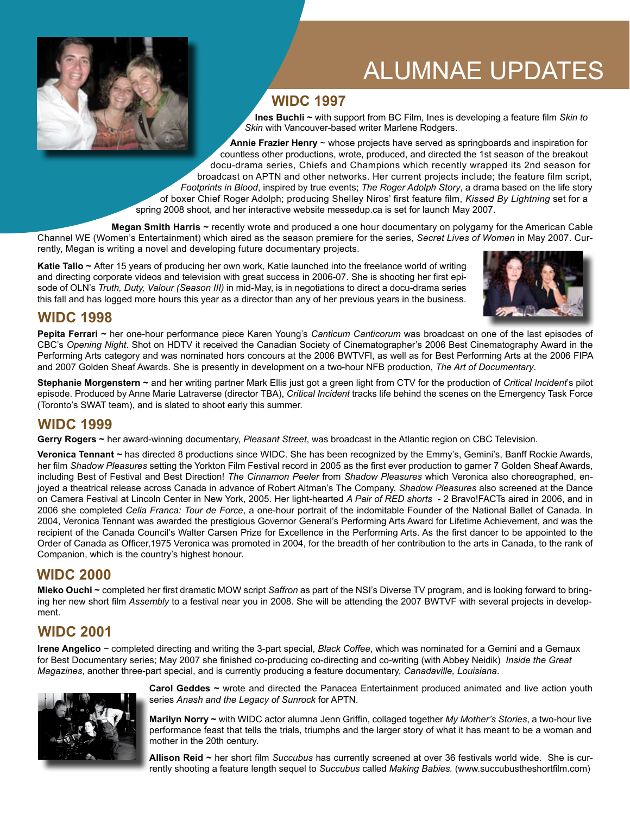

## ALUMNAE UPDATES

### **WIDC 1997**

 **Ines Buchli ~** with support from BC Film, Ines is developing a feature film *Skin to Skin* with Vancouver-based writer Marlene Rodgers.

**Annie Frazier Henry** ~ whose projects have served as springboards and inspiration for countless other productions, wrote, produced, and directed the 1st season of the breakout docu-drama series, Chiefs and Champions which recently wrapped its 2nd season for broadcast on APTN and other networks. Her current projects include; the feature film script, *Footprints in Blood*, inspired by true events; *The Roger Adolph Story*, a drama based on the life story of boxer Chief Roger Adolph; producing Shelley Niros' first feature film, *Kissed By Lightning* set for a spring 2008 shoot, and her interactive website messedup.ca is set for launch May 2007.

 **Megan Smith Harris ~** recently wrote and produced a one hour documentary on polygamy for the American Cable Channel WE (Women's Entertainment) which aired as the season premiere for the series, *Secret Lives of Women* in May 2007. Currently, Megan is writing a novel and developing future documentary projects.

**Katie Tallo ~** After 15 years of producing her own work, Katie launched into the freelance world of writing and directing corporate videos and television with great success in 2006-07. She is shooting her first episode of OLN's *Truth, Duty, Valour (Season III)* in mid-May, is in negotiations to direct a docu-drama series this fall and has logged more hours this year as a director than any of her previous years in the business.



#### **WIDC 1998**

**Pepita Ferrari ~** her one-hour performance piece Karen Young's *Canticum Canticorum* was broadcast on one of the last episodes of CBC's *Opening Night*. Shot on HDTV it received the Canadian Society of Cinematographer's 2006 Best Cinematography Award in the Performing Arts category and was nominated hors concours at the 2006 BWTVFl, as well as for Best Performing Arts at the 2006 FIPA and 2007 Golden Sheaf Awards. She is presently in development on a two-hour NFB production, *The Art of Documentary*.

**Stephanie Morgenstern ~** and her writing partner Mark Ellis just got a green light from CTV for the production of *Critical Incident*'s pilot episode. Produced by Anne Marie Latraverse (director TBA), *Critical Incident* tracks life behind the scenes on the Emergency Task Force (Toronto's SWAT team), and is slated to shoot early this summer.

#### **WIDC 1999**

**Gerry Rogers ~** her award-winning documentary, *Pleasant Street*, was broadcast in the Atlantic region on CBC Television.

**Veronica Tennant ~** has directed 8 productions since WIDC. She has been recognized by the Emmy's, Gemini's, Banff Rockie Awards, her film *Shadow Pleasures* setting the Yorkton Film Festival record in 2005 as the first ever production to garner 7 Golden Sheaf Awards, including Best of Festival and Best Direction! *The Cinnamon Peeler* from *Shadow Pleasures* which Veronica also choreographed, enjoyed a theatrical release across Canada in advance of Robert Altman's The Company. *Shadow Pleasures* also screened at the Dance on Camera Festival at Lincoln Center in New York, 2005. Her light-hearted *A Pair of RED shorts* - 2 Bravo!FACTs aired in 2006, and in 2006 she completed *Celia Franca: Tour de Force*, a one-hour portrait of the indomitable Founder of the National Ballet of Canada. In 2004, Veronica Tennant was awarded the prestigious Governor General's Performing Arts Award for Lifetime Achievement, and was the recipient of the Canada Council's Walter Carsen Prize for Excellence in the Performing Arts. As the first dancer to be appointed to the Order of Canada as Officer,1975 Veronica was promoted in 2004, for the breadth of her contribution to the arts in Canada, to the rank of Companion, which is the country's highest honour.

#### **WIDC 2000**

**Mieko Ouchi ~** completed her first dramatic MOW script *Saffron* as part of the NSI's Diverse TV program, and is looking forward to bringing her new short film *Assembly* to a festival near you in 2008. She will be attending the 2007 BWTVF with several projects in development.

### **WIDC 2001**

**Irene Angelico** ~ completed directing and writing the 3-part special, *Black Coffee*, which was nominated for a Gemini and a Gemaux for Best Documentary series; May 2007 she finished co-producing co-directing and co-writing (with Abbey Neidik) *Inside the Great Magazines*, another three-part special, and is currently producing a feature documentary, *Canadaville, Louisiana*.



**Carol Geddes ~** wrote and directed the Panacea Entertainment produced animated and live action youth series *Anash and the Legacy of Sunrock* for APTN.

**Marilyn Norry ~** with WIDC actor alumna Jenn Griffin, collaged together *My Mother's Stories*, a two-hour live performance feast that tells the trials, triumphs and the larger story of what it has meant to be a woman and mother in the 20th century.

**Allison Reid ~** her short film *Succubus* has currently screened at over 36 festivals world wide. She is currently shooting a feature length sequel to *Succubus* called *Making Babies.* (www.succubustheshortfilm.com)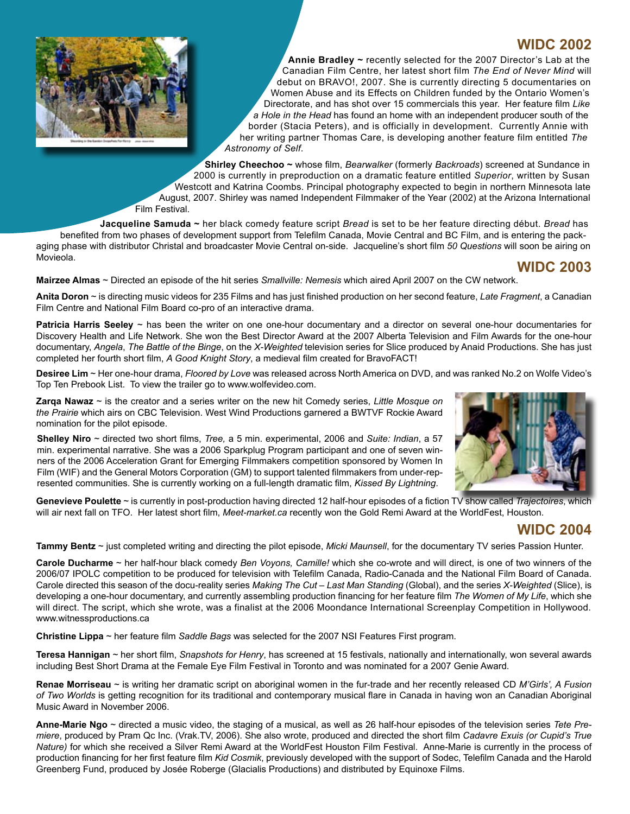

**WIDC 2002 Annie Bradley ~** recently selected for the 2007 Director's Lab at the Canadian Film Centre, her latest short film *The End of Never Mind* will debut on BRAVO!, 2007. She is currently directing 5 documentaries on Women Abuse and its Effects on Children funded by the Ontario Women's Directorate, and has shot over 15 commercials this year. Her feature film *Like a Hole in the Head* has found an home with an independent producer south of the border (Stacia Peters), and is officially in development. Currently Annie with her writing partner Thomas Care, is developing another feature film entitled *The Astronomy of Self*.

 **Shirley Cheechoo ~** whose film, *Bearwalker* (formerly *Backroads*) screened at Sundance in 2000 is currently in preproduction on a dramatic feature entitled *Superior*, written by Susan Westcott and Katrina Coombs. Principal photography expected to begin in northern Minnesota late August, 2007. Shirley was named Independent Filmmaker of the Year (2002) at the Arizona International Film Festival.

 **Jacqueline Samuda ~** her black comedy feature script *Bread* is set to be her feature directing début. *Bread* has benefited from two phases of development support from Telefilm Canada, Movie Central and BC Film, and is entering the packaging phase with distributor Christal and broadcaster Movie Central on-side. Jacqueline's short film *50 Questions* will soon be airing on Movieola.

#### **WIDC 2003**

**Mairzee Almas** ~ Directed an episode of the hit series *Smallville: Nemesis* which aired April 2007 on the CW network.

**Anita Doron** ~ is directing music videos for 235 Films and has just finished production on her second feature, *Late Fragment*, a Canadian Film Centre and National Film Board co-pro of an interactive drama.

**Patricia Harris Seeley** ~ has been the writer on one one-hour documentary and a director on several one-hour documentaries for Discovery Health and Life Network. She won the Best Director Award at the 2007 Alberta Television and Film Awards for the one-hour documentary, *Angela*, *The Battle of the Binge*, on the *X-Weighted* television series for Slice produced by Anaid Productions. She has just completed her fourth short film, *A Good Knight Story*, a medieval film created for BravoFACT!

**Desiree Lim** ~ Her one-hour drama, *Floored by Love* was released across North America on DVD, and was ranked No.2 on Wolfe Video's Top Ten Prebook List. To view the trailer go to www.wolfevideo.com.

**Zarqa Nawaz** ~ is the creator and a series writer on the new hit Comedy series, *Little Mosque on the Prairie* which airs on CBC Television. West Wind Productions garnered a BWTVF Rockie Award nomination for the pilot episode.

**Shelley Niro** ~ directed two short films, *Tree,* a 5 min. experimental, 2006 and *Suite: Indian*, a 57 min. experimental narrative. She was a 2006 Sparkplug Program participant and one of seven winners of the 2006 Acceleration Grant for Emerging Filmmakers competition sponsored by Women In Film (WIF) and the General Motors Corporation (GM) to support talented filmmakers from under-represented communities. She is currently working on a full-length dramatic film, *Kissed By Lightning*.



**Genevieve Poulette** ~ is currently in post-production having directed 12 half-hour episodes of a fiction TV show called *Trajectoires*, which will air next fall on TFO. Her latest short film, *Meet-market.ca* recently won the Gold Remi Award at the WorldFest, Houston.

### **WIDC 2004**

**Tammy Bentz** ~ just completed writing and directing the pilot episode, *Micki Maunsell*, for the documentary TV series Passion Hunter.

**Carole Ducharme** ~ her half-hour black comedy *Ben Voyons, Camille!* which she co-wrote and will direct, is one of two winners of the 2006/07 IPOLC competition to be produced for television with Telefilm Canada, Radio-Canada and the National Film Board of Canada. Carole directed this season of the docu-reality series *Making The Cut – Last Man Standing* (Global), and the series *X-Weighted* (Slice), is developing a one-hour documentary, and currently assembling production financing for her feature film *The Women of My Life*, which she will direct. The script, which she wrote, was a finalist at the 2006 Moondance International Screenplay Competition in Hollywood. www.witnessproductions.ca

**Christine Lippa** ~ her feature film *Saddle Bags* was selected for the 2007 NSI Features First program.

**Teresa Hannigan** ~ her short film, *Snapshots for Henry*, has screened at 15 festivals, nationally and internationally, won several awards including Best Short Drama at the Female Eye Film Festival in Toronto and was nominated for a 2007 Genie Award.

**Renae Morriseau** ~ is writing her dramatic script on aboriginal women in the fur-trade and her recently released CD *M'Girls', A Fusion of Two Worlds* is getting recognition for its traditional and contemporary musical flare in Canada in having won an Canadian Aboriginal Music Award in November 2006.

**Anne-Marie Ngo** ~ directed a music video, the staging of a musical, as well as 26 half-hour episodes of the television series *Tete Premiere*, produced by Pram Qc Inc. (Vrak.TV, 2006). She also wrote, produced and directed the short film *Cadavre Exuis (or Cupid's True Nature)* for which she received a Silver Remi Award at the WorldFest Houston Film Festival. Anne-Marie is currently in the process of production financing for her first feature film *Kid Cosmik*, previously developed with the support of Sodec, Telefilm Canada and the Harold Greenberg Fund, produced by Josée Roberge (Glacialis Productions) and distributed by Equinoxe Films.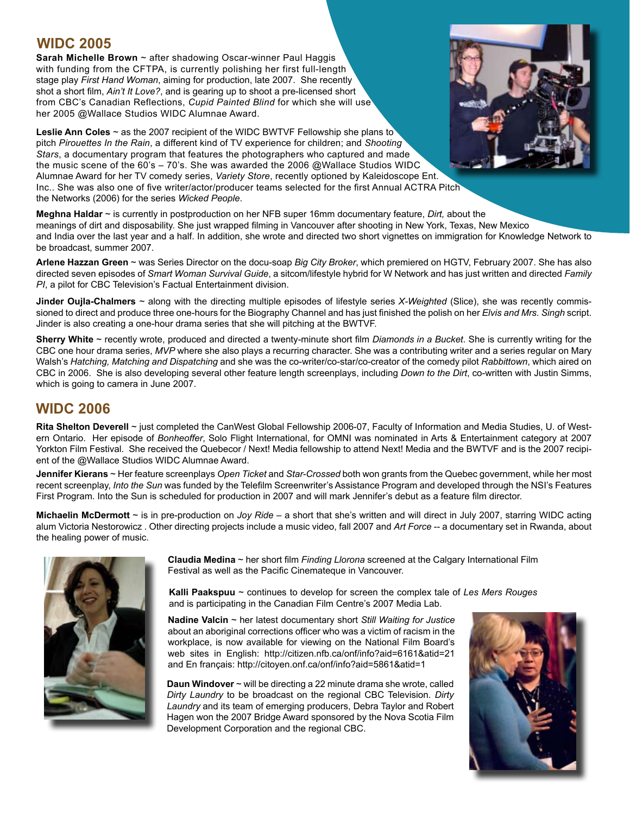#### **WIDC 2005**

**Sarah Michelle Brown** ~ after shadowing Oscar-winner Paul Haggis with funding from the CFTPA, is currently polishing her first full-length stage play *First Hand Woman*, aiming for production, late 2007. She recently shot a short film, *Ain't It Love?*, and is gearing up to shoot a pre-licensed short from CBC's Canadian Reflections, *Cupid Painted Blind* for which she will use her 2005 @Wallace Studios WIDC Alumnae Award.

**Leslie Ann Coles** ~ as the 2007 recipient of the WIDC BWTVF Fellowship she plans to pitch *Pirouettes In the Rain*, a different kind of TV experience for children; and *Shooting Stars*, a documentary program that features the photographers who captured and made the music scene of the 60's – 70's. She was awarded the 2006 @Wallace Studios WIDC Alumnae Award for her TV comedy series, *Variety Store*, recently optioned by Kaleidoscope Ent. Inc.. She was also one of five writer/actor/producer teams selected for the first Annual ACTRA Pitch the Networks (2006) for the series *Wicked People*.

**Meghna Haldar** ~ is currently in postproduction on her NFB super 16mm documentary feature, *Dirt,* about the meanings of dirt and disposability. She just wrapped filming in Vancouver after shooting in New York, Texas, New Mexico and India over the last year and a half. In addition, she wrote and directed two short vignettes on immigration for Knowledge Network to be broadcast, summer 2007.

**Arlene Hazzan Green** ~ was Series Director on the docu-soap *Big City Broker*, which premiered on HGTV, February 2007. She has also directed seven episodes of *Smart Woman Survival Guide*, a sitcom/lifestyle hybrid for W Network and has just written and directed *Family PI*, a pilot for CBC Television's Factual Entertainment division.

**Jinder Oujla-Chalmers** ~ along with the directing multiple episodes of lifestyle series *X-Weighted* (Slice), she was recently commissioned to direct and produce three one-hours for the Biography Channel and has just finished the polish on her *Elvis and Mrs. Singh* script. Jinder is also creating a one-hour drama series that she will pitching at the BWTVF.

**Sherry White** ~ recently wrote, produced and directed a twenty-minute short film *Diamonds in a Bucket*. She is currently writing for the CBC one hour drama series, *MVP* where she also plays a recurring character. She was a contributing writer and a series regular on Mary Walsh's *Hatching, Matching and Dispatching* and she was the co-writer/co-star/co-creator of the comedy pilot *Rabbittown*, which aired on CBC in 2006. She is also developing several other feature length screenplays, including *Down to the Dirt*, co-written with Justin Simms, which is going to camera in June 2007.

#### **WIDC 2006**

**Rita Shelton Deverell** ~ just completed the CanWest Global Fellowship 2006-07, Faculty of Information and Media Studies, U. of Western Ontario. Her episode of *Bonheoffer*, Solo Flight International, for OMNI was nominated in Arts & Entertainment category at 2007 Yorkton Film Festival. She received the Quebecor / Next! Media fellowship to attend Next! Media and the BWTVF and is the 2007 recipient of the @Wallace Studios WIDC Alumnae Award.

**Jennifer Kierans** ~ Her feature screenplays *Open Ticket* and *Star-Crossed* both won grants from the Quebec government, while her most recent screenplay, *Into the Sun* was funded by the Telefilm Screenwriter's Assistance Program and developed through the NSI's Features First Program. Into the Sun is scheduled for production in 2007 and will mark Jennifer's debut as a feature film director.

**Michaelin McDermott** ~ is in pre-production on *Joy Ride* – a short that she's written and will direct in July 2007, starring WIDC acting alum Victoria Nestorowicz . Other directing projects include a music video, fall 2007 and *Art Force* -- a documentary set in Rwanda, about the healing power of music.



**Claudia Medina** ~ her short film *Finding Llorona* screened at the Calgary International Film Festival as well as the Pacific Cinemateque in Vancouver.

**Kalli Paakspuu** ~ continues to develop for screen the complex tale of *Les Mers Rouges* and is participating in the Canadian Film Centre's 2007 Media Lab.

**Nadine Valcin** ~ her latest documentary short *Still Waiting for Justice* about an aboriginal corrections officer who was a victim of racism in the workplace, is now available for viewing on the National Film Board's web sites in English: http://citizen.nfb.ca/onf/info?aid=6161&atid=21 and En français: http://citoyen.onf.ca/onf/info?aid=5861&atid=1

**Daun Windover** ~ will be directing a 22 minute drama she wrote, called *Dirty Laundry* to be broadcast on the regional CBC Television. *Dirty Laundry* and its team of emerging producers, Debra Taylor and Robert Hagen won the 2007 Bridge Award sponsored by the Nova Scotia Film Development Corporation and the regional CBC.



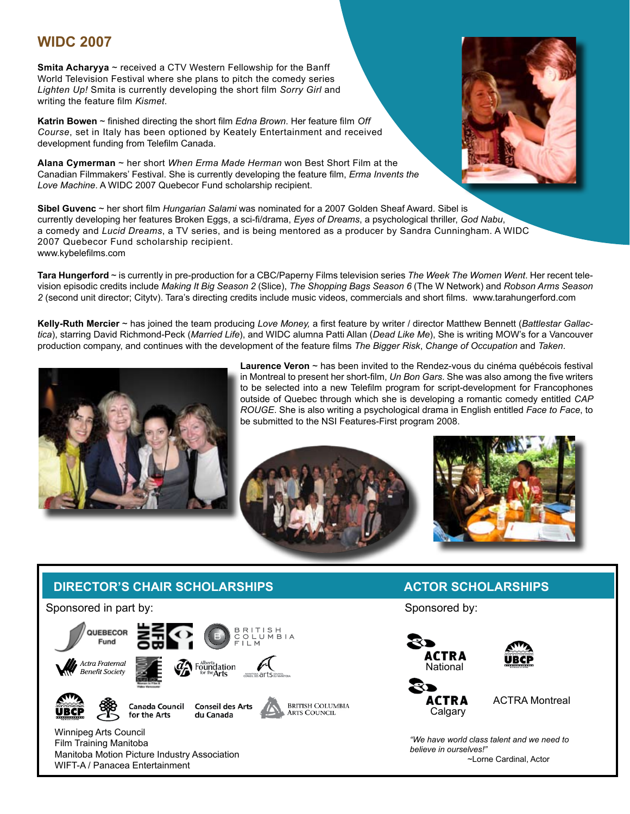#### **WIDC 2007**

**Smita Acharyya** ~ received a CTV Western Fellowship for the Banff World Television Festival where she plans to pitch the comedy series *Lighten Up!* Smita is currently developing the short film *Sorry Girl* and writing the feature film *Kismet*.

**Katrin Bowen** ~ finished directing the short film *Edna Brown*. Her feature film *Off Course*, set in Italy has been optioned by Keately Entertainment and received development funding from Telefilm Canada.

**Alana Cymerman** ~ her short *When Erma Made Herman* won Best Short Film at the Canadian Filmmakers' Festival. She is currently developing the feature film, *Erma Invents the Love Machine*. A WIDC 2007 Quebecor Fund scholarship recipient.

**Sibel Guvenc** ~ her short film *Hungarian Salami* was nominated for a 2007 Golden Sheaf Award. Sibel is currently developing her features Broken Eggs, a sci-fi/drama, *Eyes of Dreams*, a psychological thriller, *God Nabu*, a comedy and *Lucid Dreams*, a TV series, and is being mentored as a producer by Sandra Cunningham. A WIDC 2007 Quebecor Fund scholarship recipient. www.kybelefilms.com

**Tara Hungerford** ~ is currently in pre-production for a CBC/Paperny Films television series *The Week The Women Went*. Her recent television episodic credits include *Making It Big Season 2* (Slice), *The Shopping Bags Season 6* (The W Network) and *Robson Arms Season 2* (second unit director; Citytv). Tara's directing credits include music videos, commercials and short films. www.tarahungerford.com

**Kelly-Ruth Mercier** ~ has joined the team producing *Love Money,* a first feature by writer / director Matthew Bennett (*Battlestar Gallactica*), starring David Richmond-Peck (*Married Life*), and WIDC alumna Patti Allan (*Dead Like Me*), She is writing MOW's for a Vancouver production company, and continues with the development of the feature films *The Bigger Risk*, *Change of Occupation* and *Taken*.



**Laurence Veron** ~ has been invited to the Rendez-vous du cinéma québécois festival in Montreal to present her short-film, *Un Bon Gars*. She was also among the five writers to be selected into a new Telefilm program for script-development for Francophones outside of Quebec through which she is developing a romantic comedy entitled *CAP ROUGE*. She is also writing a psychological drama in English entitled *Face to Face*, to be submitted to the NSI Features-First program 2008.





#### **DIRECTOR'S CHAIR SCHOLARSHIPS**

Sponsored in part by:  $\begin{array}{c}\nB \ R \ L \ C \ D \ L\n\end{array}$ QUEBECOR Fund Actra Fraternal Foundation **Benefit Society Canada Council Conseil des Arts BRITISH COLUMBIA** UBCP **ARTS COUNCIL** for the Arts du Canada Winnipeg Arts Council

Film Training Manitoba Manitoba Motion Picture Industry Association WIFT-A / Panacea Entertainment

#### **ACTOR SCHOLARSHIPS**

Sponsored by:



*"We have world class talent and we need to believe in ourselves!"* ~Lorne Cardinal, Actor

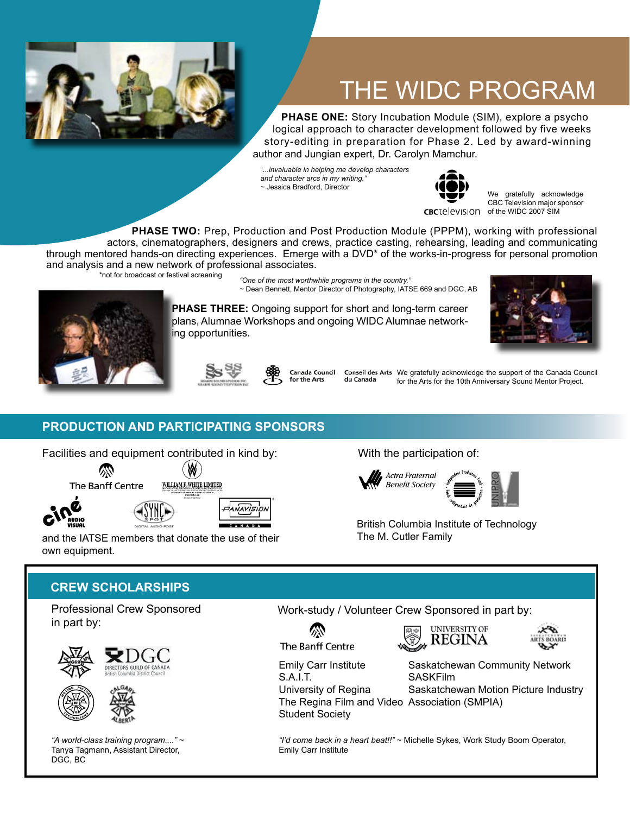

# THE WIDC PROGRAM

 **PHASE ONE:** Story Incubation Module (SIM), explore a psycho logical approach to character development followed by five weeks story-editing in preparation for Phase 2. Led by award-winning author and Jungian expert, Dr. Carolyn Mamchur.

"*...invaluable in helping me develop characters and character arcs in my writing."* ~ Jessica Bradford, Director



We gratefully acknowledge

CBC Television major sponsor CBCTelevision of the WIDC 2007 SIM

 **PHASE TWO:** Prep, Production and Post Production Module (PPPM), working with professional actors, cinematographers, designers and crews, practice casting, rehearsing, leading and communicating through mentored hands-on directing experiences. Emerge with a DVD\* of the works-in-progress for personal promotion and analysis and a new network of professional associates.

\*not for broadcast or festival screening

*"One of the most worthwhile programs in the country."*  ~ Dean Bennett, Mentor Director of Photography, IATSE 669 and DGC, AB

**PHASE THREE:** Ongoing support for short and long-term career plans, Alumnae Workshops and ongoing WIDC Alumnae networking opportunities.







Canada Council for the Arts

du Canada

Conseil des Arts We gratefully acknowledge the support of the Canada Council for the Arts for the 10th Anniversary Sound Mentor Project.

#### **PRODUCTION AND PARTICIPATING SPONSORS**

Facilities and equipment contributed in kind by: With the participation of:

全 The Banff Centre





and the IATSE members that donate the use of their own equipment.





British Columbia Institute of Technology The M. Cutler Family

#### **CREW SCHOLARSHIPS**

Professional Crew Sponsored in part by:





*"A world-class training program...."* ~ Tanya Tagmann, Assistant Director, DGC, BC

Work-study / Volunteer Crew Sponsored in part by:







Emily Carr Institute S.A.I.T.

University of Regina The Regina Film and Video Association (SMPIA) Student Society

Saskatchewan Community Network SASKFilm

Saskatchewan Motion Picture Industry

*"I'd come back in a heart beat!!"* ~ Michelle Sykes, Work Study Boom Operator, Emily Carr Institute